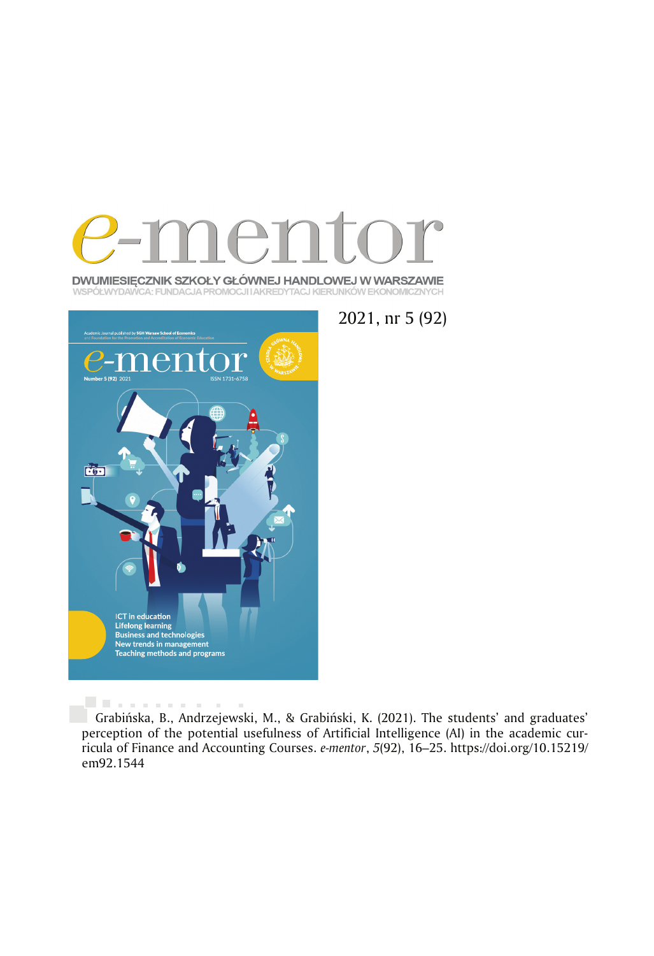

DWUMIESIĘCZNIK SZKOŁY GŁÓWNEJ HANDLOWEJ W WARSZAWIE WSPÓŁWYDAWCA: FUNDACJA PROMOCJI I AKREDYTACJ KIERUNKÓW EKONOMICZNYCH



. . . . . . . . . .

2021, nr 5 (92)

Grabińska, B., Andrzejewski, M., & Grabiński, K. (2021). The students' and graduates' perception of the potential usefulness of Artificial Intelligence (AI) in the academic curricula of Finance and Accounting Courses. *e-mentor*, *5*(92), 16 –25. https://doi.org/10.15219/ em92.1544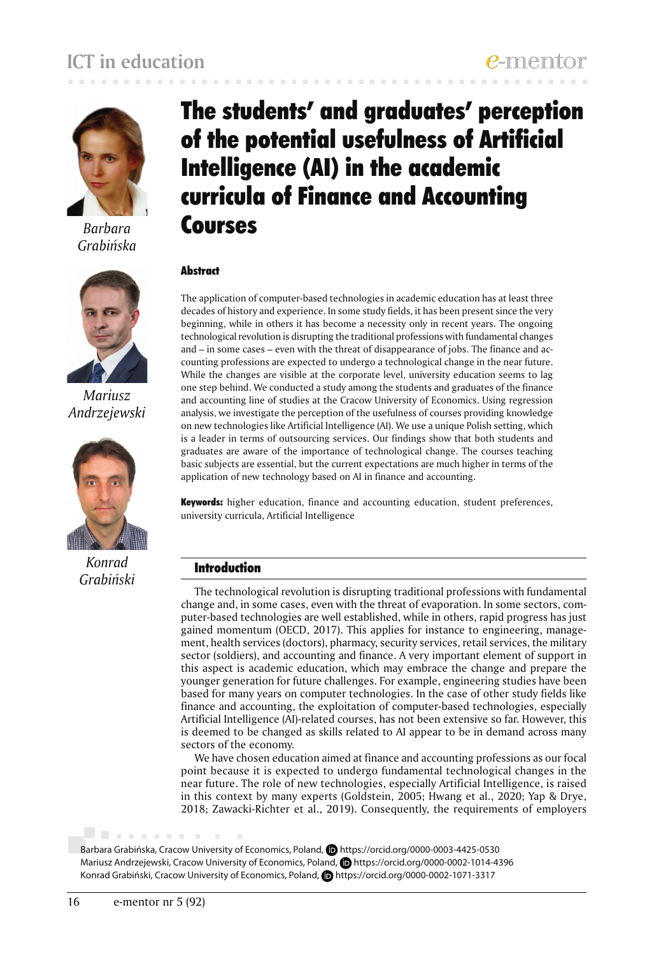

*Barbara Grabińska*



*Mariusz Andrzejewski*



*Konrad Grabiński*

# The students' and graduates' perception of the potential usefulness of Artificial Intelligence (AI) in the academic curricula of Finance and Accounting Courses

## **Abstract**

The application of computer-based technologies in academic education has at least three decades of history and experience. In some study fields, it has been present since the very beginning, while in others it has become a necessity only in recent years. The ongoing technological revolution is disrupting the traditional professions with fundamental changes and – in some cases – even with the threat of disappearance of jobs. The finance and accounting professions are expected to undergo a technological change in the near future. While the changes are visible at the corporate level, university education seems to lag one step behind. We conducted a study among the students and graduates of the finance and accounting line of studies at the Cracow University of Economics. Using regression analysis, we investigate the perception of the usefulness of courses providing knowledge on new technologies like Artificial Intelligence (AI). We use a unique Polish setting, which is a leader in terms of outsourcing services. Our findings show that both students and graduates are aware of the importance of technological change. The courses teaching basic subjects are essential, but the current expectations are much higher in terms of the application of new technology based on AI in finance and accounting.

Keywords: higher education, finance and accounting education, student preferences, university curricula, Artificial Intelligence

## Introduction

The technological revolution is disrupting traditional professions with fundamental change and, in some cases, even with the threat of evaporation. In some sectors, computer-based technologies are well established, while in others, rapid progress has just gained momentum (OECD, 2017). This applies for instance to engineering, management, health services (doctors), pharmacy, security services, retail services, the military sector (soldiers), and accounting and finance. A very important element of support in this aspect is academic education, which may embrace the change and prepare the younger generation for future challenges. For example, engineering studies have been based for many years on computer technologies. In the case of other study fields like finance and accounting, the exploitation of computer-based technologies, especially Artificial Intelligence (AI)-related courses, has not been extensive so far. However, this is deemed to be changed as skills related to AI appear to be in demand across many sectors of the economy.

We have chosen education aimed at finance and accounting professions as our focal point because it is expected to undergo fundamental technological changes in the near future. The role of new technologies, especially Artificial Intelligence, is raised in this context by many experts (Goldstein, 2005; Hwang et al., 2020; Yap & Drye, 2018; Zawacki-Richter et al., 2019). Consequently, the requirements of employers

Barbara Grabińska, Cracow University of Economics, Poland, **D**https://orcid.org/0000-0003-4425-0530 Mariusz Andrzejewski, Cracow University of Economics, Poland, **b** https://orcid.org/0000-0002-1014-4396 Konrad Grabiński, Cracow University of Economics, Poland, **D**https://orcid.org/0000-0002-1071-3317

. . . . . . . .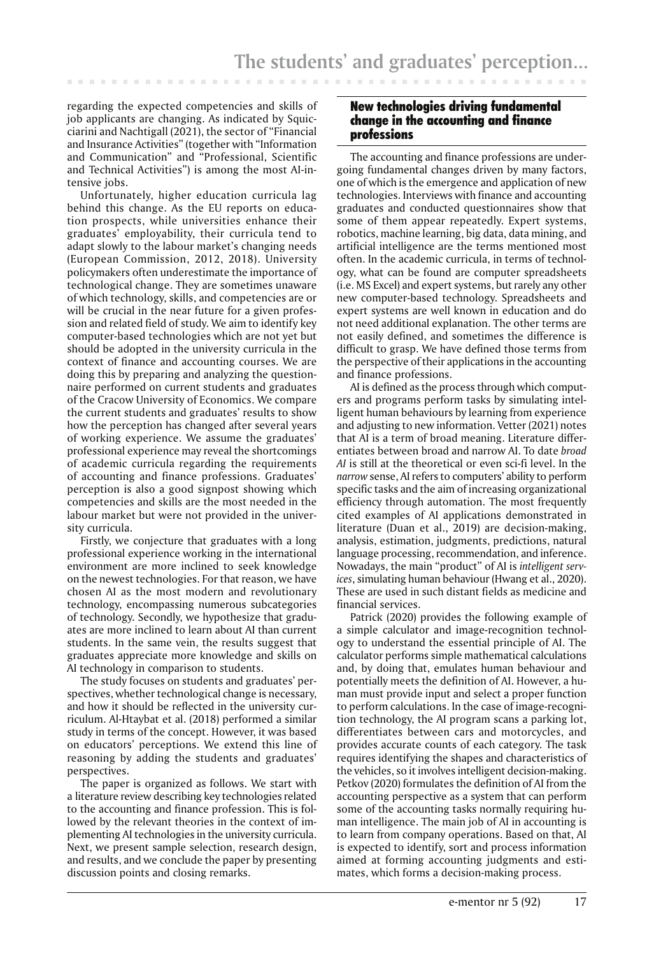regarding the expected competencies and skills of job applicants are changing. As indicated by Squicciarini and Nachtigall (2021), the sector of "Financial and Insurance Activities" (together with "Information and Communication" and "Professional, Scientific and Technical Activities") is among the most AI-intensive jobs.

. . . . . .

Unfortunately, higher education curricula lag behind this change. As the EU reports on education prospects, while universities enhance their graduates' employability, their curricula tend to adapt slowly to the labour market's changing needs (European Commission, 2012, 2018). University policymakers often underestimate the importance of technological change. They are sometimes unaware of which technology, skills, and competencies are or will be crucial in the near future for a given profession and related field of study. We aim to identify key computer-based technologies which are not yet but should be adopted in the university curricula in the context of finance and accounting courses. We are doing this by preparing and analyzing the questionnaire performed on current students and graduates of the Cracow University of Economics. We compare the current students and graduates' results to show how the perception has changed after several years of working experience. We assume the graduates' professional experience may reveal the shortcomings of academic curricula regarding the requirements of accounting and finance professions. Graduates' perception is also a good signpost showing which competencies and skills are the most needed in the labour market but were not provided in the university curricula.

Firstly, we conjecture that graduates with a long professional experience working in the international environment are more inclined to seek knowledge on the newest technologies. For that reason, we have chosen AI as the most modern and revolutionary technology, encompassing numerous subcategories of technology. Secondly, we hypothesize that graduates are more inclined to learn about AI than current students. In the same vein, the results suggest that graduates appreciate more knowledge and skills on AI technology in comparison to students.

The study focuses on students and graduates' perspectives, whether technological change is necessary, and how it should be reflected in the university curriculum. Al-Htaybat et al. (2018) performed a similar study in terms of the concept. However, it was based on educators' perceptions. We extend this line of reasoning by adding the students and graduates' perspectives.

The paper is organized as follows. We start with a literature review describing key technologies related to the accounting and finance profession. This is followed by the relevant theories in the context of implementing AI technologies in the university curricula. Next, we present sample selection, research design, and results, and we conclude the paper by presenting discussion points and closing remarks.

## New technologies driving fundamental change in the accounting and finance professions

The accounting and finance professions are undergoing fundamental changes driven by many factors, one of which is the emergence and application of new technologies. Interviews with finance and accounting graduates and conducted questionnaires show that some of them appear repeatedly. Expert systems, robotics, machine learning, big data, data mining, and artificial intelligence are the terms mentioned most often. In the academic curricula, in terms of technology, what can be found are computer spreadsheets (i.e. MS Excel) and expert systems, but rarely any other new computer-based technology. Spreadsheets and expert systems are well known in education and do not need additional explanation. The other terms are not easily defined, and sometimes the difference is difficult to grasp. We have defined those terms from the perspective of their applications in the accounting and finance professions.

AI is defined as the process through which computers and programs perform tasks by simulating intelligent human behaviours by learning from experience and adjusting to new information. Vetter (2021) notes that AI is a term of broad meaning. Literature differentiates between broad and narrow AI. To date *broad AI* is still at the theoretical or even sci-fi level. In the *narrow* sense, AI refers to computers' ability to perform specific tasks and the aim of increasing organizational efficiency through automation. The most frequently cited examples of AI applications demonstrated in literature (Duan et al., 2019) are decision-making, analysis, estimation, judgments, predictions, natural language processing, recommendation, and inference. Nowadays, the main "product" of AI is *intelligent services*, simulating human behaviour (Hwang et al., 2020). These are used in such distant fields as medicine and financial services.

Patrick (2020) provides the following example of a simple calculator and image-recognition technology to understand the essential principle of AI. The calculator performs simple mathematical calculations and, by doing that, emulates human behaviour and potentially meets the definition of AI. However, a human must provide input and select a proper function to perform calculations. In the case of image-recognition technology, the AI program scans a parking lot, differentiates between cars and motorcycles, and provides accurate counts of each category. The task requires identifying the shapes and characteristics of the vehicles, so it involves intelligent decision-making. Petkov (2020) formulates the definition of AI from the accounting perspective as a system that can perform some of the accounting tasks normally requiring human intelligence. The main job of AI in accounting is to learn from company operations. Based on that, AI is expected to identify, sort and process information aimed at forming accounting judgments and estimates, which forms a decision-making process.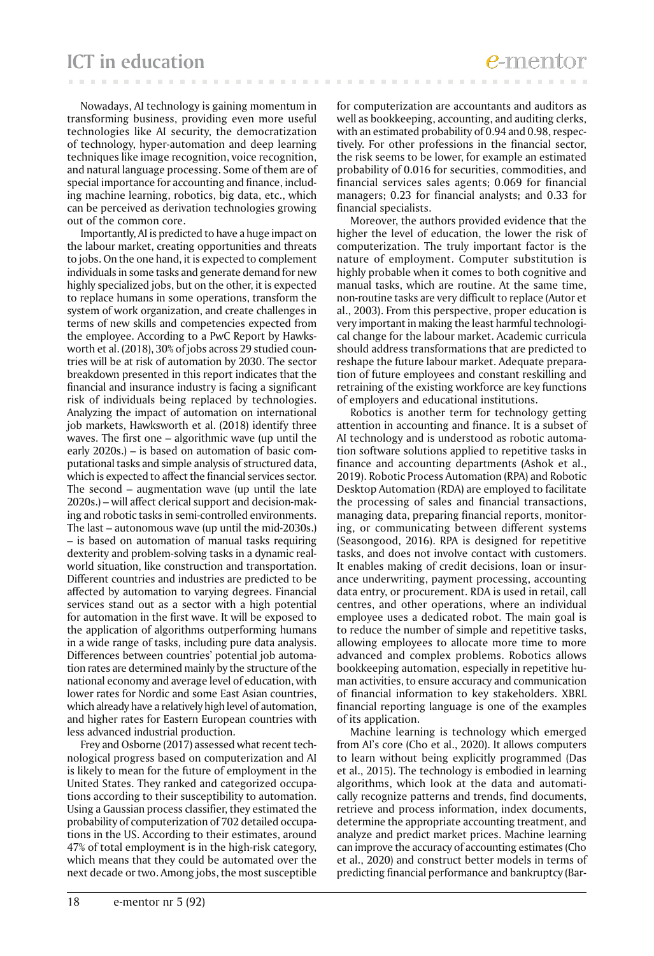**ICT in education**

Nowadays, AI technology is gaining momentum in transforming business, providing even more useful technologies like AI security, the democratization of technology, hyper-automation and deep learning techniques like image recognition, voice recognition, and natural language processing. Some of them are of special importance for accounting and finance, including machine learning, robotics, big data, etc., which can be perceived as derivation technologies growing out of the common core.

Importantly, AI is predicted to have a huge impact on the labour market, creating opportunities and threats to jobs. On the one hand, it is expected to complement individuals in some tasks and generate demand for new highly specialized jobs, but on the other, it is expected to replace humans in some operations, transform the system of work organization, and create challenges in terms of new skills and competencies expected from the employee. According to a PwC Report by Hawksworth et al. (2018), 30% of jobs across 29 studied countries will be at risk of automation by 2030. The sector breakdown presented in this report indicates that the financial and insurance industry is facing a significant risk of individuals being replaced by technologies. Analyzing the impact of automation on international job markets, Hawksworth et al. (2018) identify three waves. The first one – algorithmic wave (up until the early 2020s.) – is based on automation of basic computational tasks and simple analysis of structured data, which is expected to affect the financial services sector. The second – augmentation wave (up until the late 2020s.) – will affect clerical support and decision-making and robotic tasks in semi-controlled environments. The last – autonomous wave (up until the mid-2030s.) – is based on automation of manual tasks requiring dexterity and problem-solving tasks in a dynamic realworld situation, like construction and transportation. Different countries and industries are predicted to be affected by automation to varying degrees. Financial services stand out as a sector with a high potential for automation in the first wave. It will be exposed to the application of algorithms outperforming humans in a wide range of tasks, including pure data analysis. Differences between countries' potential job automation rates are determined mainly by the structure of the national economy and average level of education, with lower rates for Nordic and some East Asian countries, which already have a relatively high level of automation, and higher rates for Eastern European countries with less advanced industrial production.

Frey and Osborne (2017) assessed what recent technological progress based on computerization and AI is likely to mean for the future of employment in the United States. They ranked and categorized occupations according to their susceptibility to automation. Using a Gaussian process classifier, they estimated the probability of computerization of 702 detailed occupations in the US. According to their estimates, around 47% of total employment is in the high-risk category, which means that they could be automated over the next decade or two. Among jobs, the most susceptible

for computerization are accountants and auditors as well as bookkeeping, accounting, and auditing clerks, with an estimated probability of 0.94 and 0.98, respectively. For other professions in the financial sector, the risk seems to be lower, for example an estimated probability of 0.016 for securities, commodities, and financial services sales agents; 0.069 for financial managers; 0.23 for financial analysts; and 0.33 for financial specialists.

Moreover, the authors provided evidence that the higher the level of education, the lower the risk of computerization. The truly important factor is the nature of employment. Computer substitution is highly probable when it comes to both cognitive and manual tasks, which are routine. At the same time, non-routine tasks are very difficult to replace (Autor et al., 2003). From this perspective, proper education is very important in making the least harmful technological change for the labour market. Academic curricula should address transformations that are predicted to reshape the future labour market. Adequate preparation of future employees and constant reskilling and retraining of the existing workforce are key functions of employers and educational institutions.

Robotics is another term for technology getting attention in accounting and finance. It is a subset of AI technology and is understood as robotic automation software solutions applied to repetitive tasks in finance and accounting departments (Ashok et al., 2019). Robotic Process Automation (RPA) and Robotic Desktop Automation (RDA) are employed to facilitate the processing of sales and financial transactions, managing data, preparing financial reports, monitoring, or communicating between different systems (Seasongood, 2016). RPA is designed for repetitive tasks, and does not involve contact with customers. It enables making of credit decisions, loan or insurance underwriting, payment processing, accounting data entry, or procurement. RDA is used in retail, call centres, and other operations, where an individual employee uses a dedicated robot. The main goal is to reduce the number of simple and repetitive tasks, allowing employees to allocate more time to more advanced and complex problems. Robotics allows bookkeeping automation, especially in repetitive human activities, to ensure accuracy and communication of financial information to key stakeholders. XBRL financial reporting language is one of the examples of its application.

Machine learning is technology which emerged from AI's core (Cho et al., 2020). It allows computers to learn without being explicitly programmed (Das et al., 2015). The technology is embodied in learning algorithms, which look at the data and automatically recognize patterns and trends, find documents, retrieve and process information, index documents, determine the appropriate accounting treatment, and analyze and predict market prices. Machine learning can improve the accuracy of accounting estimates (Cho et al., 2020) and construct better models in terms of predicting financial performance and bankruptcy (Bar-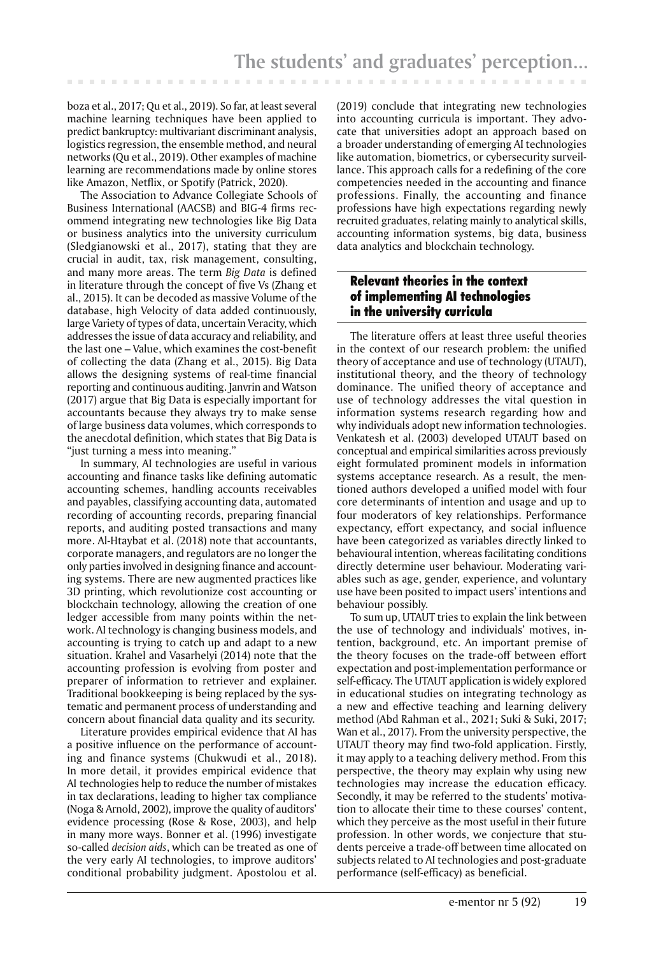boza et al., 2017; Qu et al., 2019). So far, at least several machine learning techniques have been applied to predict bankruptcy: multivariant discriminant analysis, logistics regression, the ensemble method, and neural networks (Qu et al., 2019). Other examples of machine learning are recommendations made by online stores like Amazon, Netflix, or Spotify (Patrick, 2020).

The Association to Advance Collegiate Schools of Business International (AACSB) and BIG-4 firms recommend integrating new technologies like Big Data or business analytics into the university curriculum (Sledgianowski et al., 2017), stating that they are crucial in audit, tax, risk management, consulting, and many more areas. The term *Big Data* is defined in literature through the concept of five Vs (Zhang et al., 2015). It can be decoded as massive Volume of the database, high Velocity of data added continuously, large Variety of types of data, uncertain Veracity, which addresses the issue of data accuracy and reliability, and the last one – Value, which examines the cost-benefit of collecting the data (Zhang et al., 2015). Big Data allows the designing systems of real-time financial reporting and continuous auditing. Janvrin and Watson (2017) argue that Big Data is especially important for accountants because they always try to make sense of large business data volumes, which corresponds to the anecdotal definition, which states that Big Data is "just turning a mess into meaning."

In summary, AI technologies are useful in various accounting and finance tasks like defining automatic accounting schemes, handling accounts receivables and payables, classifying accounting data, automated recording of accounting records, preparing financial reports, and auditing posted transactions and many more. Al-Htaybat et al. (2018) note that accountants, corporate managers, and regulators are no longer the only parties involved in designing finance and accounting systems. There are new augmented practices like 3D printing, which revolutionize cost accounting or blockchain technology, allowing the creation of one ledger accessible from many points within the network. AI technology is changing business models, and accounting is trying to catch up and adapt to a new situation. Krahel and Vasarhelyi (2014) note that the accounting profession is evolving from poster and preparer of information to retriever and explainer. Traditional bookkeeping is being replaced by the systematic and permanent process of understanding and concern about financial data quality and its security.

Literature provides empirical evidence that AI has a positive influence on the performance of accounting and finance systems (Chukwudi et al., 2018). In more detail, it provides empirical evidence that AI technologies help to reduce the number of mistakes in tax declarations, leading to higher tax compliance (Noga & Arnold, 2002), improve the quality of auditors' evidence processing (Rose & Rose, 2003), and help in many more ways. Bonner et al. (1996) investigate so-called *decision aids*, which can be treated as one of the very early AI technologies, to improve auditors' conditional probability judgment. Apostolou et al.

(2019) conclude that integrating new technologies into accounting curricula is important. They advocate that universities adopt an approach based on a broader understanding of emerging AI technologies like automation, biometrics, or cybersecurity surveillance. This approach calls for a redefining of the core competencies needed in the accounting and finance professions. Finally, the accounting and finance professions have high expectations regarding newly recruited graduates, relating mainly to analytical skills, accounting information systems, big data, business data analytics and blockchain technology.

## Relevant theories in the context of implementing AI technologies in the university curricula

The literature offers at least three useful theories in the context of our research problem: the unified theory of acceptance and use of technology (UTAUT), institutional theory, and the theory of technology dominance. The unified theory of acceptance and use of technology addresses the vital question in information systems research regarding how and why individuals adopt new information technologies. Venkatesh et al. (2003) developed UTAUT based on conceptual and empirical similarities across previously eight formulated prominent models in information systems acceptance research. As a result, the mentioned authors developed a unified model with four core determinants of intention and usage and up to four moderators of key relationships. Performance expectancy, effort expectancy, and social influence have been categorized as variables directly linked to behavioural intention, whereas facilitating conditions directly determine user behaviour. Moderating variables such as age, gender, experience, and voluntary use have been posited to impact users' intentions and behaviour possibly.

To sum up, UTAUT tries to explain the link between the use of technology and individuals' motives, intention, background, etc. An important premise of the theory focuses on the trade-off between effort expectation and post-implementation performance or self-efficacy. The UTAUT application is widely explored in educational studies on integrating technology as a new and effective teaching and learning delivery method (Abd Rahman et al., 2021; Suki & Suki, 2017; Wan et al., 2017). From the university perspective, the UTAUT theory may find two-fold application. Firstly, it may apply to a teaching delivery method. From this perspective, the theory may explain why using new technologies may increase the education efficacy. Secondly, it may be referred to the students' motivation to allocate their time to these courses' content, which they perceive as the most useful in their future profession. In other words, we conjecture that students perceive a trade-off between time allocated on subjects related to AI technologies and post-graduate performance (self-efficacy) as beneficial.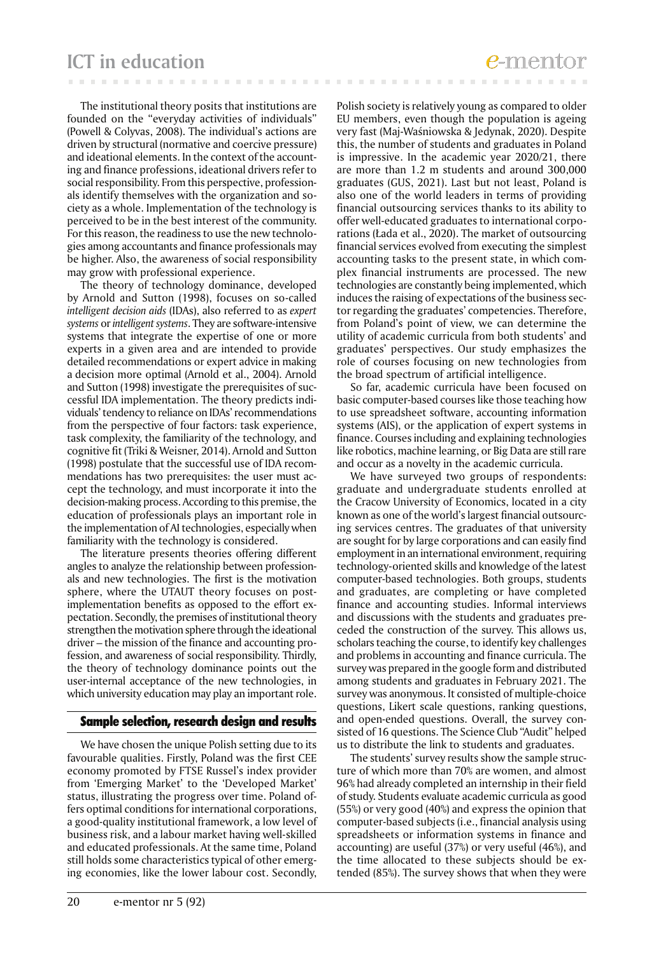The institutional theory posits that institutions are founded on the "everyday activities of individuals" (Powell & Colyvas, 2008). The individual's actions are driven by structural (normative and coercive pressure) and ideational elements. In the context of the accounting and finance professions, ideational drivers refer to social responsibility. From this perspective, professionals identify themselves with the organization and society as a whole. Implementation of the technology is perceived to be in the best interest of the community. For this reason, the readiness to use the new technologies among accountants and finance professionals may be higher. Also, the awareness of social responsibility may grow with professional experience.

The theory of technology dominance, developed by Arnold and Sutton (1998), focuses on so-called *intelligent decision aids* (IDAs), also referred to as *expert systems* or *intelligent systems*. They are software-intensive systems that integrate the expertise of one or more experts in a given area and are intended to provide detailed recommendations or expert advice in making a decision more optimal (Arnold et al., 2004). Arnold and Sutton (1998) investigate the prerequisites of successful IDA implementation. The theory predicts individuals' tendency to reliance on IDAs' recommendations from the perspective of four factors: task experience, task complexity, the familiarity of the technology, and cognitive fit (Triki & Weisner, 2014). Arnold and Sutton (1998) postulate that the successful use of IDA recommendations has two prerequisites: the user must accept the technology, and must incorporate it into the decision-making process. According to this premise, the education of professionals plays an important role in the implementation of AI technologies, especially when familiarity with the technology is considered.

The literature presents theories offering different angles to analyze the relationship between professionals and new technologies. The first is the motivation sphere, where the UTAUT theory focuses on postimplementation benefits as opposed to the effort expectation. Secondly, the premises of institutional theory strengthen the motivation sphere through the ideational driver – the mission of the finance and accounting profession, and awareness of social responsibility. Thirdly, the theory of technology dominance points out the user-internal acceptance of the new technologies, in which university education may play an important role.

### Sample selection, research design and results

We have chosen the unique Polish setting due to its favourable qualities. Firstly, Poland was the first CEE economy promoted by FTSE Russel's index provider from 'Emerging Market' to the 'Developed Market' status, illustrating the progress over time. Poland offers optimal conditions for international corporations, a good-quality institutional framework, a low level of business risk, and a labour market having well-skilled and educated professionals. At the same time, Poland still holds some characteristics typical of other emerging economies, like the lower labour cost. Secondly,

Polish society is relatively young as compared to older EU members, even though the population is ageing very fast (Maj-Waśniowska & Jedynak, 2020). Despite this, the number of students and graduates in Poland is impressive. In the academic year 2020/21, there are more than 1.2 m students and around 300,000 graduates (GUS, 2021). Last but not least, Poland is also one of the world leaders in terms of providing financial outsourcing services thanks to its ability to offer well-educated graduates to international corporations (Łada et al., 2020). The market of outsourcing financial services evolved from executing the simplest accounting tasks to the present state, in which complex financial instruments are processed. The new technologies are constantly being implemented, which induces the raising of expectations of the business sector regarding the graduates' competencies. Therefore, from Poland's point of view, we can determine the utility of academic curricula from both students' and graduates' perspectives. Our study emphasizes the role of courses focusing on new technologies from the broad spectrum of artificial intelligence.

So far, academic curricula have been focused on basic computer-based courses like those teaching how to use spreadsheet software, accounting information systems (AIS), or the application of expert systems in finance. Courses including and explaining technologies like robotics, machine learning, or Big Data are still rare and occur as a novelty in the academic curricula.

We have surveyed two groups of respondents: graduate and undergraduate students enrolled at the Cracow University of Economics, located in a city known as one of the world's largest financial outsourcing services centres. The graduates of that university are sought for by large corporations and can easily find employment in an international environment, requiring technology-oriented skills and knowledge of the latest computer-based technologies. Both groups, students and graduates, are completing or have completed finance and accounting studies. Informal interviews and discussions with the students and graduates preceded the construction of the survey. This allows us, scholars teaching the course, to identify key challenges and problems in accounting and finance curricula. The survey was prepared in the google form and distributed among students and graduates in February 2021. The survey was anonymous. It consisted of multiple-choice questions, Likert scale questions, ranking questions, and open-ended questions. Overall, the survey consisted of 16 questions. The Science Club "Audit" helped us to distribute the link to students and graduates.

The students' survey results show the sample structure of which more than 70% are women, and almost 96% had already completed an internship in their field of study. Students evaluate academic curricula as good (55%) or very good (40%) and express the opinion that computer-based subjects (i.e., financial analysis using spreadsheets or information systems in finance and accounting) are useful (37%) or very useful (46%), and the time allocated to these subjects should be extended (85%). The survey shows that when they were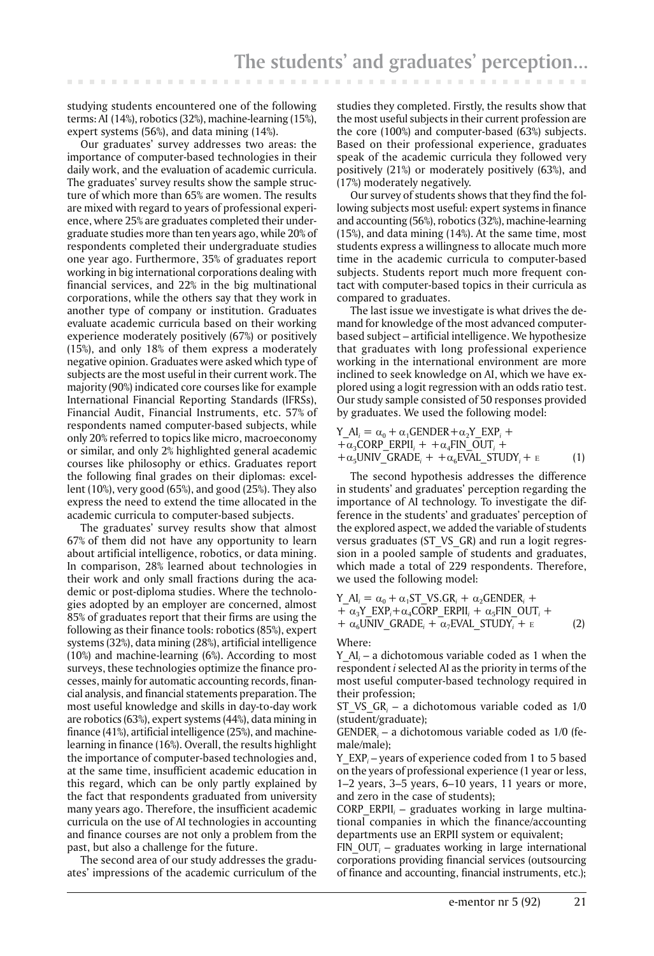studying students encountered one of the following terms: AI (14%), robotics (32%), machine-learning (15%), expert systems (56%), and data mining (14%).

Our graduates' survey addresses two areas: the importance of computer-based technologies in their daily work, and the evaluation of academic curricula. The graduates' survey results show the sample structure of which more than 65% are women. The results are mixed with regard to years of professional experience, where 25% are graduates completed their undergraduate studies more than ten years ago, while 20% of respondents completed their undergraduate studies one year ago. Furthermore, 35% of graduates report working in big international corporations dealing with financial services, and 22% in the big multinational corporations, while the others say that they work in another type of company or institution. Graduates evaluate academic curricula based on their working experience moderately positively (67%) or positively (15%), and only 18% of them express a moderately negative opinion. Graduates were asked which type of subjects are the most useful in their current work. The majority (90%) indicated core courses like for example International Financial Reporting Standards (IFRSs), Financial Audit, Financial Instruments, etc. 57% of respondents named computer-based subjects, while only 20% referred to topics like micro, macroeconomy or similar, and only 2% highlighted general academic courses like philosophy or ethics. Graduates report the following final grades on their diplomas: excellent (10%), very good (65%), and good (25%). They also express the need to extend the time allocated in the academic curricula to computer-based subjects.

The graduates' survey results show that almost 67% of them did not have any opportunity to learn about artificial intelligence, robotics, or data mining. In comparison, 28% learned about technologies in their work and only small fractions during the academic or post-diploma studies. Where the technologies adopted by an employer are concerned, almost 85% of graduates report that their firms are using the following as their finance tools: robotics (85%), expert systems (32%), data mining (28%), artificial intelligence (10%) and machine-learning (6%). According to most surveys, these technologies optimize the finance processes, mainly for automatic accounting records, financial analysis, and financial statements preparation. The most useful knowledge and skills in day-to-day work are robotics (63%), expert systems (44%), data mining in finance (41%), artificial intelligence (25%), and machinelearning in finance (16%). Overall, the results highlight the importance of computer-based technologies and, at the same time, insufficient academic education in this regard, which can be only partly explained by the fact that respondents graduated from university many years ago. Therefore, the insufficient academic curricula on the use of AI technologies in accounting and finance courses are not only a problem from the past, but also a challenge for the future.

The second area of our study addresses the graduates' impressions of the academic curriculum of the

studies they completed. Firstly, the results show that the most useful subjects in their current profession are the core (100%) and computer-based (63%) subjects. Based on their professional experience, graduates speak of the academic curricula they followed very positively (21%) or moderately positively (63%), and (17%) moderately negatively.

Our survey of students shows that they find the following subjects most useful: expert systems in finance and accounting (56%), robotics (32%), machine-learning (15%), and data mining (14%). At the same time, most students express a willingness to allocate much more time in the academic curricula to computer-based subjects. Students report much more frequent contact with computer-based topics in their curricula as compared to graduates.

The last issue we investigate is what drives the demand for knowledge of the most advanced computerbased subject – artificial intelligence. We hypothesize that graduates with long professional experience working in the international environment are more inclined to seek knowledge on AI, which we have explored using a logit regression with an odds ratio test. Our study sample consisted of 50 responses provided by graduates. We used the following model:

$$
Y_{-}Al_{i} = \alpha_{0} + \alpha_{1}GENDER + \alpha_{2}Y_{-}EXP_{i} ++ \alpha_{3}CORP_{-}ERPII_{i} + + \alpha_{4}FIN_{-}OUT_{i} ++ \alpha_{5}UNIV_{-}GRADE_{i} + + \alpha_{6}EVAL_{-}STUDY_{i} + E
$$
 (1)

The second hypothesis addresses the difference in students' and graduates' perception regarding the importance of AI technology. To investigate the difference in the students' and graduates' perception of the explored aspect, we added the variable of students versus graduates (ST\_VS\_GR) and run a logit regression in a pooled sample of students and graduates, which made a total of 229 respondents. Therefore, we used the following model:

 $Y_A I_i = \alpha_0 + \alpha_1 ST_V S.GR_i + \alpha_2 GENDER_i +$  $+\alpha_3 Y$  EXP<sub>i</sub> +  $\alpha_4$ CORP ERPII<sub>i</sub> +  $\alpha_5$ FIN OUT<sub>i</sub> +  $+\alpha_6$ UNIV\_GRADE<sub>i</sub> +  $\alpha_7$ EVAL\_STUDY<sub>i</sub> + E (2)

Where:

Y\_AI*<sup>i</sup>* – a dichotomous variable coded as 1 when the respondent *i* selected AI as the priority in terms of the most useful computer-based technology required in their profession;

ST\_VS\_GR*<sup>i</sup>* – a dichotomous variable coded as 1/0 (student/graduate);

GENDER*<sup>i</sup>* – a dichotomous variable coded as 1/0 (female/male);

Y\_EXP*<sup>i</sup>* – years of experience coded from 1 to 5 based on the years of professional experience (1 year or less, 1–2 years, 3–5 years, 6–10 years, 11 years or more, and zero in the case of students);

CORP\_ERPII*<sup>i</sup>* – graduates working in large multinational companies in which the finance/accounting departments use an ERPII system or equivalent;

FIN\_OUT*<sup>i</sup>* – graduates working in large international corporations providing financial services (outsourcing of finance and accounting, financial instruments, etc.);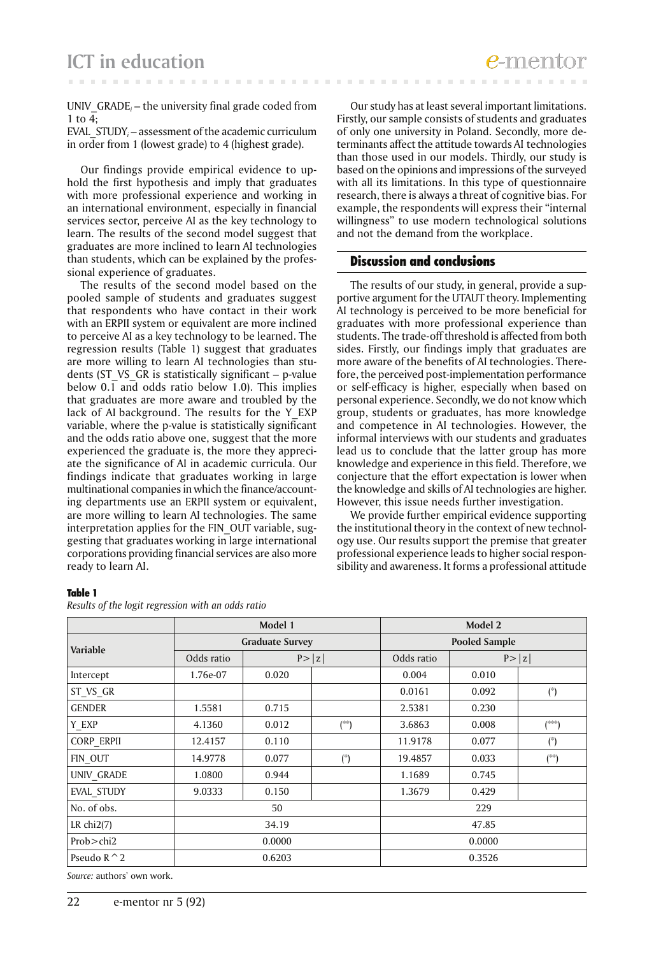UNIV\_GRADE*<sup>i</sup>* – the university final grade coded from 1 to  $\overline{4}$ :

EVAL\_STUDY*<sup>i</sup>* – assessment of the academic curriculum in order from 1 (lowest grade) to 4 (highest grade).

Our findings provide empirical evidence to uphold the first hypothesis and imply that graduates with more professional experience and working in an international environment, especially in financial services sector, perceive AI as the key technology to learn. The results of the second model suggest that graduates are more inclined to learn AI technologies than students, which can be explained by the professional experience of graduates.

The results of the second model based on the pooled sample of students and graduates suggest that respondents who have contact in their work with an ERPII system or equivalent are more inclined to perceive AI as a key technology to be learned. The regression results (Table 1) suggest that graduates are more willing to learn AI technologies than students (ST\_VS\_GR is statistically significant – p-value below 0.1 and odds ratio below 1.0). This implies that graduates are more aware and troubled by the lack of AI background. The results for the Y\_EXP variable, where the p-value is statistically significant and the odds ratio above one, suggest that the more experienced the graduate is, the more they appreciate the significance of AI in academic curricula. Our findings indicate that graduates working in large multinational companies in which the finance/accounting departments use an ERPII system or equivalent, are more willing to learn AI technologies. The same interpretation applies for the FIN\_OUT variable, suggesting that graduates working in large international corporations providing financial services are also more ready to learn AI.

Our study has at least several important limitations. Firstly, our sample consists of students and graduates of only one university in Poland. Secondly, more determinants affect the attitude towards AI technologies than those used in our models. Thirdly, our study is based on the opinions and impressions of the surveyed with all its limitations. In this type of questionnaire research, there is always a threat of cognitive bias. For example, the respondents will express their "internal willingness" to use modern technological solutions and not the demand from the workplace.

### Discussion and conclusions

The results of our study, in general, provide a supportive argument for the UTAUT theory. Implementing AI technology is perceived to be more beneficial for graduates with more professional experience than students. The trade-off threshold is affected from both sides. Firstly, our findings imply that graduates are more aware of the benefits of AI technologies. Therefore, the perceived post-implementation performance or self-efficacy is higher, especially when based on personal experience. Secondly, we do not know which group, students or graduates, has more knowledge and competence in AI technologies. However, the informal interviews with our students and graduates lead us to conclude that the latter group has more knowledge and experience in this field. Therefore, we conjecture that the effort expectation is lower when the knowledge and skills of AI technologies are higher. However, this issue needs further investigation.

We provide further empirical evidence supporting the institutional theory in the context of new technology use. Our results support the premise that greater professional experience leads to higher social responsibility and awareness. It forms a professional attitude

#### Table 1

|                   | Model 1                |        |                    | Model 2              |        |                                               |
|-------------------|------------------------|--------|--------------------|----------------------|--------|-----------------------------------------------|
| Variable          | <b>Graduate Survey</b> |        |                    | <b>Pooled Sample</b> |        |                                               |
|                   | Odds ratio             | P >  z |                    | Odds ratio           | P >  z |                                               |
| Intercept         | 1.76e-07               | 0.020  |                    | 0.004                | 0.010  |                                               |
| ST VS GR          |                        |        |                    | 0.0161               | 0.092  | $($ <sup>**</sup> )                           |
| <b>GENDER</b>     | 1.5581                 | 0.715  |                    | 2.5381               | 0.230  |                                               |
| Y EXP             | 4.1360                 | 0.012  | $\binom{4}{3}$     | 3.6863               | 0.008  | (***)                                         |
| <b>CORP ERPII</b> | 12.4157                | 0.110  |                    | 11.9178              | 0.077  | $($ *)                                        |
| FIN_OUT           | 14.9778                | 0.077  | $($ <sup>*</sup> ) | 19.4857              | 0.033  | $\binom{\text{diss}(\mathbf{r})}{\mathbf{r}}$ |
| UNIV_GRADE        | 1.0800                 | 0.944  |                    | 1.1689               | 0.745  |                                               |
| EVAL_STUDY        | 9.0333                 | 0.150  |                    | 1.3679               | 0.429  |                                               |
| No. of obs.       | 50                     |        |                    | 229                  |        |                                               |
| LR chi $2(7)$     | 34.19                  |        |                    | 47.85                |        |                                               |
| Prob > chi2       | 0.0000                 |        |                    | 0.0000               |        |                                               |
| Pseudo $R^2$ 2    | 0.6203                 |        |                    | 0.3526               |        |                                               |

*Source:* authors' own work.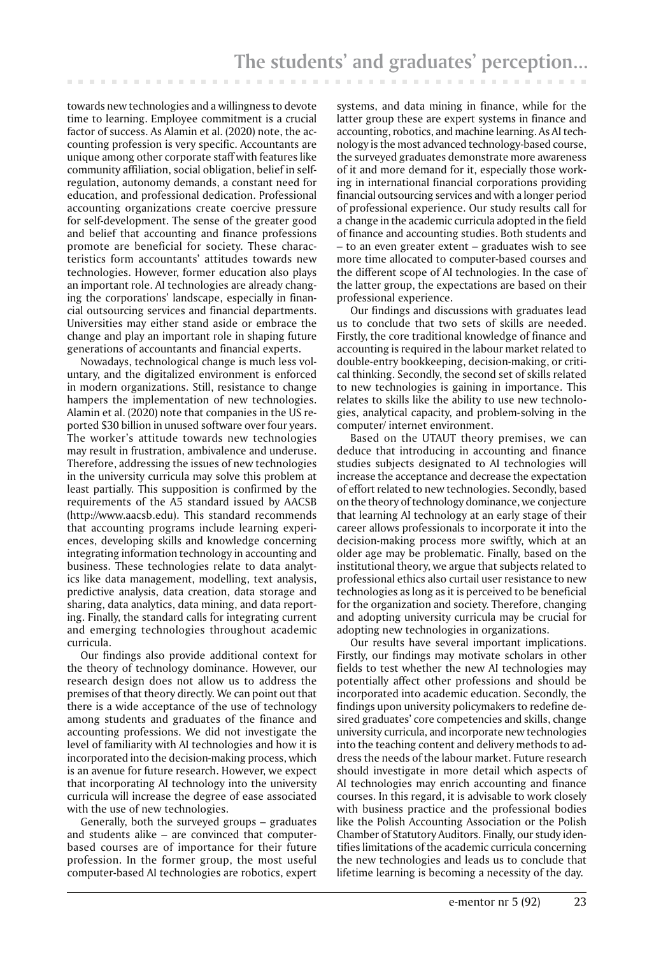towards new technologies and a willingness to devote time to learning. Employee commitment is a crucial factor of success. As Alamin et al. (2020) note, the accounting profession is very specific. Accountants are unique among other corporate staff with features like community affiliation, social obligation, belief in selfregulation, autonomy demands, a constant need for education, and professional dedication. Professional accounting organizations create coercive pressure for self-development. The sense of the greater good and belief that accounting and finance professions promote are beneficial for society. These characteristics form accountants' attitudes towards new technologies. However, former education also plays an important role. AI technologies are already changing the corporations' landscape, especially in financial outsourcing services and financial departments. Universities may either stand aside or embrace the change and play an important role in shaping future generations of accountants and financial experts.

. . . . . . .

Nowadays, technological change is much less voluntary, and the digitalized environment is enforced in modern organizations. Still, resistance to change hampers the implementation of new technologies. Alamin et al. (2020) note that companies in the US reported \$30 billion in unused software over four years. The worker's attitude towards new technologies may result in frustration, ambivalence and underuse. Therefore, addressing the issues of new technologies in the university curricula may solve this problem at least partially. This supposition is confirmed by the requirements of the A5 standard issued by AACSB (http://www.aacsb.edu). This standard recommends that accounting programs include learning experiences, developing skills and knowledge concerning integrating information technology in accounting and business. These technologies relate to data analytics like data management, modelling, text analysis, predictive analysis, data creation, data storage and sharing, data analytics, data mining, and data reporting. Finally, the standard calls for integrating current and emerging technologies throughout academic curricula.

Our findings also provide additional context for the theory of technology dominance. However, our research design does not allow us to address the premises of that theory directly. We can point out that there is a wide acceptance of the use of technology among students and graduates of the finance and accounting professions. We did not investigate the level of familiarity with AI technologies and how it is incorporated into the decision-making process, which is an avenue for future research. However, we expect that incorporating AI technology into the university curricula will increase the degree of ease associated with the use of new technologies.

Generally, both the surveyed groups – graduates and students alike – are convinced that computerbased courses are of importance for their future profession. In the former group, the most useful computer-based AI technologies are robotics, expert

systems, and data mining in finance, while for the latter group these are expert systems in finance and accounting, robotics, and machine learning. As AI technology is the most advanced technology-based course, the surveyed graduates demonstrate more awareness of it and more demand for it, especially those working in international financial corporations providing financial outsourcing services and with a longer period of professional experience. Our study results call for a change in the academic curricula adopted in the field of finance and accounting studies. Both students and – to an even greater extent – graduates wish to see more time allocated to computer-based courses and the different scope of AI technologies. In the case of the latter group, the expectations are based on their professional experience.

. . . . . . . .

Our findings and discussions with graduates lead us to conclude that two sets of skills are needed. Firstly, the core traditional knowledge of finance and accounting is required in the labour market related to double-entry bookkeeping, decision-making, or critical thinking. Secondly, the second set of skills related to new technologies is gaining in importance. This relates to skills like the ability to use new technologies, analytical capacity, and problem-solving in the computer/ internet environment.

Based on the UTAUT theory premises, we can deduce that introducing in accounting and finance studies subjects designated to AI technologies will increase the acceptance and decrease the expectation of effort related to new technologies. Secondly, based on the theory of technology dominance, we conjecture that learning AI technology at an early stage of their career allows professionals to incorporate it into the decision-making process more swiftly, which at an older age may be problematic. Finally, based on the institutional theory, we argue that subjects related to professional ethics also curtail user resistance to new technologies as long as it is perceived to be beneficial for the organization and society. Therefore, changing and adopting university curricula may be crucial for adopting new technologies in organizations.

Our results have several important implications. Firstly, our findings may motivate scholars in other fields to test whether the new AI technologies may potentially affect other professions and should be incorporated into academic education. Secondly, the findings upon university policymakers to redefine desired graduates' core competencies and skills, change university curricula, and incorporate new technologies into the teaching content and delivery methods to address the needs of the labour market. Future research should investigate in more detail which aspects of AI technologies may enrich accounting and finance courses. In this regard, it is advisable to work closely with business practice and the professional bodies like the Polish Accounting Association or the Polish Chamber of Statutory Auditors. Finally, our study identifies limitations of the academic curricula concerning the new technologies and leads us to conclude that lifetime learning is becoming a necessity of the day.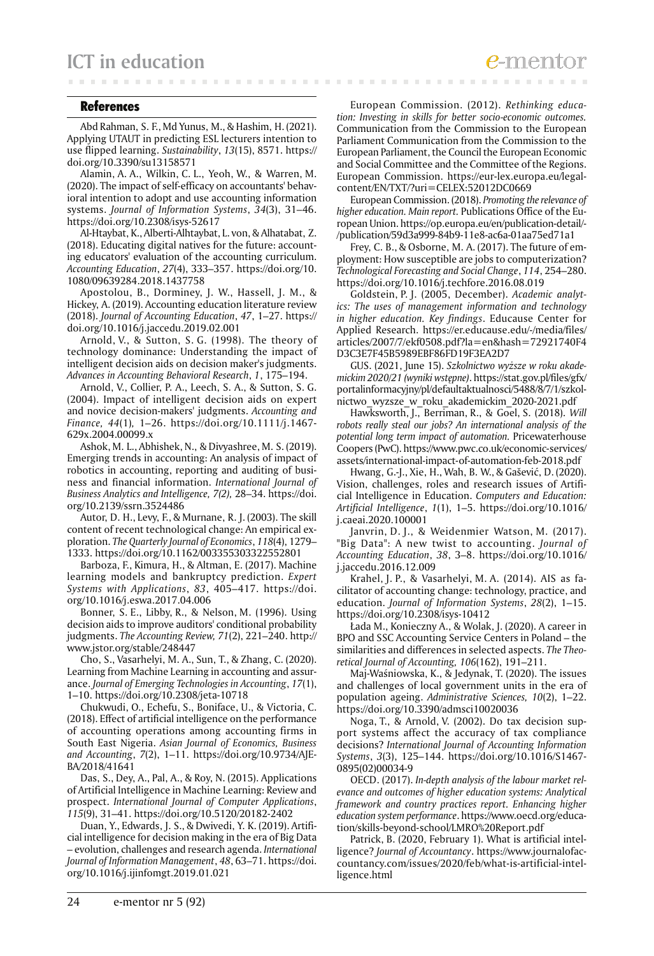#### References

Abd Rahman, S. F., Md Yunus, M., & Hashim, H. (2021). Applying UTAUT in predicting ESL lecturers intention to use flipped learning. *Sustainability*, *13*(15), 8571. https:// doi.org/10.3390/su13158571

Alamin, A. A., Wilkin, C. L., Yeoh, W., & Warren, M. (2020). The impact of self-efficacy on accountants' behavioral intention to adopt and use accounting information systems. *Journal of Information Systems*, *34*(3), 31–46. https://doi.org/10.2308/isys-52617

Al-Htaybat, K., Alberti-Alhtaybat, L. von, & Alhatabat, Z. (2018). Educating digital natives for the future: accounting educators' evaluation of the accounting curriculum. *Accounting Education*, *27*(4), 333–357. https://doi.org/10. 1080/09639284.2018.1437758

Apostolou, B., Dorminey, J. W., Hassell, J. M., & Hickey, A. (2019). Accounting education literature review (2018). *Journal of Accounting Education*, *47*, 1–27. https:// doi.org/10.1016/j.jaccedu.2019.02.001

Arnold, V., & Sutton, S. G. (1998). The theory of technology dominance: Understanding the impact of intelligent decision aids on decision maker's judgments. *Advances in Accounting Behavioral Research*, *1*, 175–194.

Arnold, V., Collier, P. A., Leech, S. A., & Sutton, S. G. (2004). Impact of intelligent decision aids on expert and novice decision-makers' judgments. *Accounting and Finance, 44*(1)*,* 1–26. https://doi.org/10.1111/j.1467- 629x.2004.00099.x

Ashok, M. L., Abhishek, N., & Divyashree, M. S. (2019). Emerging trends in accounting: An analysis of impact of robotics in accounting, reporting and auditing of business and financial information. *International Journal of Business Analytics and Intelligence, 7(2),* 28–34. https://doi. org/10.2139/ssrn.3524486

Autor, D. H., Levy, F., & Murnane, R. J. (2003). The skill content of recent technological change: An empirical exploration. *The Quarterly Journal of Economics*, *118*(4), 1279– 1333. https://doi.org/10.1162/003355303322552801

Barboza, F., Kimura, H., & Altman, E. (2017). Machine learning models and bankruptcy prediction. *Expert Systems with Applications*, *83*, 405–417. https://doi. org/10.1016/j.eswa.2017.04.006

Bonner, S. E., Libby, R., & Nelson, M. (1996). Using decision aids to improve auditors' conditional probability judgments. *The Accounting Review, 71*(2), 221–240. http:// www.jstor.org/stable/248447

Cho, S., Vasarhelyi, M. A., Sun, T., & Zhang, C. (2020). Learning from Machine Learning in accounting and assurance. *Journal of Emerging Technologies in Accounting*, *17*(1), 1–10. https://doi.org/10.2308/jeta-10718

Chukwudi, O., Echefu, S., Boniface, U., & Victoria, C. (2018). Effect of artificial intelligence on the performance of accounting operations among accounting firms in South East Nigeria. *Asian Journal of Economics, Business and Accounting*, *7*(2), 1–11. https://doi.org/10.9734/AJE-BA/2018/41641

Das, S., Dey, A., Pal, A., & Roy, N. (2015). Applications of Artificial Intelligence in Machine Learning: Review and prospect. *International Journal of Computer Applications*, *115*(9), 31–41. https://doi.org/10.5120/20182-2402

Duan, Y., Edwards, J. S., & Dwivedi, Y. K. (2019). Artificial intelligence for decision making in the era of Big Data – evolution, challenges and research agenda. *International Journal of Information Management*, *48*, 63–71. https://doi. org/10.1016/j.ijinfomgt.2019.01.021

European Commission. (2012). *Rethinking education: Investing in skills for better socio-economic outcomes.*  Communication from the Commission to the European Parliament Communication from the Commission to the European Parliament, the Council the European Economic and Social Committee and the Committee of the Regions. European Commission. https://eur-lex.europa.eu/legalcontent/EN/TXT/?uri=CELEX:52012DC0669

**ALCOHOL:** 

European Commission. (2018). *Promoting the relevance of higher education. Main report.* Publications Office of the European Union. https://op.europa.eu/en/publication-detail/- /publication/59d3a999-84b9-11e8-ac6a-01aa75ed71a1

Frey, C. B., & Osborne, M. A. (2017). The future of employment: How susceptible are jobs to computerization? *Technological Forecasting and Social Change*, *114*, 254–280. https://doi.org/10.1016/j.techfore.2016.08.019

Goldstein, P. J. (2005, December). *Academic analytics: The uses of management information and technology in higher education. Key findings*. Educause Center for Applied Research. https://er.educause.edu/-/media/files/ articles/2007/7/ekf0508.pdf?la=en&hash=72921740F4 D3C3E7F45B5989EBF86FD19F3EA2D7

GUS. (2021, June 15). *Szkolnictwo wyższe w roku akademickim 2020/21 (wyniki wstępne)*. https://stat.gov.pl/files/gfx/ portalinformacyjny/pl/defaultaktualnosci/5488/8/7/1/szkolnictwo\_wyzsze\_w\_roku\_akademickim\_2020-2021.pdf

Hawksworth, J., Berriman, R., & Goel, S. (2018). *Will robots really steal our jobs? An international analysis of the potential long term impact of automation.* Pricewaterhouse Coopers (PwC). https://www.pwc.co.uk/economic-services/ assets/international-impact-of-automation-feb-2018.pdf

Hwang, G.-J., Xie, H., Wah, B. W., & Gašević, D. (2020). Vision, challenges, roles and research issues of Artificial Intelligence in Education. *Computers and Education: Artificial Intelligence*, *1*(1), 1–5. https://doi.org/10.1016/ j.caeai.2020.100001

Janvrin, D. J., & Weidenmier Watson, M. (2017). "Big Data": A new twist to accounting. *Journal of Accounting Education*, *38*, 3–8. https://doi.org/10.1016/ j.jaccedu.2016.12.009

Krahel, J. P., & Vasarhelyi, M. A. (2014). AIS as facilitator of accounting change: technology, practice, and education. *Journal of Information Systems*, *28*(2), 1–15. https://doi.org/10.2308/isys-10412

Łada M., Konieczny A., & Wolak, J. (2020). A career in BPO and SSC Accounting Service Centers in Poland – the similarities and differences in selected aspects. *The Theoretical Journal of Accounting, 106*(162), 191–211.

Maj-Waśniowska, K., & Jedynak, T. (2020). The issues and challenges of local government units in the era of population ageing. *Administrative Sciences, 10*(2), 1–22. https://doi.org/10.3390/admsci10020036

Noga, T., & Arnold, V. (2002). Do tax decision support systems affect the accuracy of tax compliance decisions? *International Journal of Accounting Information Systems*, *3*(3), 125–144. https://doi.org/10.1016/S1467- 0895(02)00034-9

OECD. (2017). *In-depth analysis of the labour market relevance and outcomes of higher education systems: Analytical framework and country practices report. Enhancing higher education system performance*. https://www.oecd.org/education/skills-beyond-school/LMRO%20Report.pdf

Patrick, B. (2020, February 1). What is artificial intelligence? *Journal of Accountancy*. https://www.journalofaccountancy.com/issues/2020/feb/what-is-artificial-intelligence.html